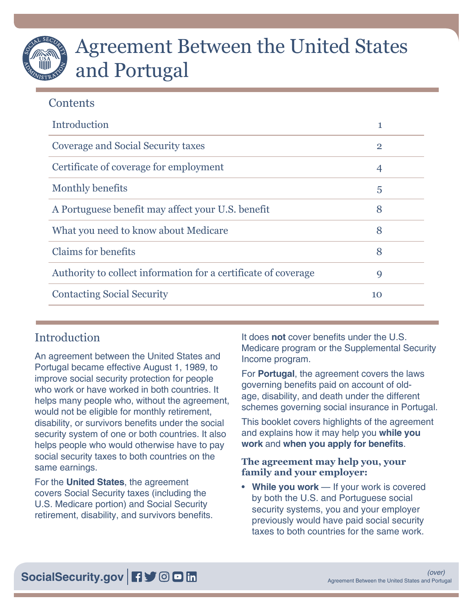# Agreement Between the United States and Portugal

# **Contents**

| Introduction                                                   | 1              |
|----------------------------------------------------------------|----------------|
| Coverage and Social Security taxes                             | $\overline{2}$ |
| Certificate of coverage for employment                         | 4              |
| Monthly benefits                                               | 5              |
| A Portuguese benefit may affect your U.S. benefit              | 8              |
| What you need to know about Medicare                           | 8              |
| <b>Claims for benefits</b>                                     | 8              |
| Authority to collect information for a certificate of coverage | 9              |
| <b>Contacting Social Security</b>                              | 10             |

# Introduction

An agreement between the United States and Portugal became effective August 1, 1989, to improve social security protection for people who work or have worked in both countries. It helps many people who, without the agreement, would not be eligible for monthly retirement, disability, or survivors benefits under the social security system of one or both countries. It also helps people who would otherwise have to pay social security taxes to both countries on the same earnings.

For the **United States**, the agreement covers Social Security taxes (including the U.S. Medicare portion) and Social Security retirement, disability, and survivors benefits. It does **not** cover benefits under the U.S. Medicare program or the Supplemental Security Income program.

For **Portugal**, the agreement covers the laws governing benefits paid on account of oldage, disability, and death under the different schemes governing social insurance in Portugal.

This booklet covers highlights of the agreement and explains how it may help you **while you work** and **when you apply for benefits**.

## **The agreement may help you, your family and your employer:**

• **While you work** — If your work is covered by both the U.S. and Portuguese social security systems, you and your employer previously would have paid social security taxes to both countries for the same work.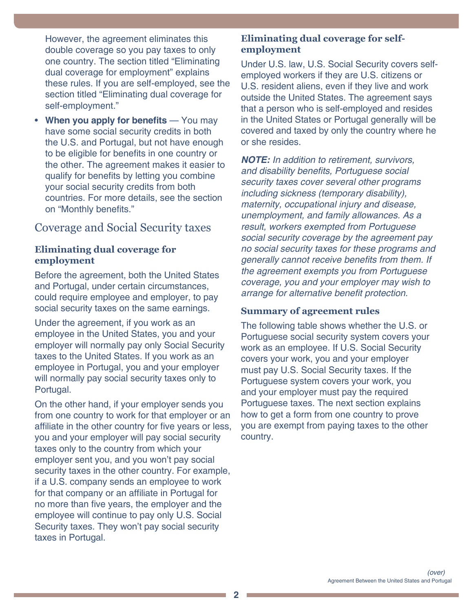<span id="page-1-0"></span>However, the agreement eliminates this double coverage so you pay taxes to only one country. The section titled "[Eliminating](#page-1-1)  [dual coverage for employment"](#page-1-1) explains these rules. If you are self-employed, see the section titled "[Eliminating dual coverage for](#page-1-2)  [self-employment](#page-1-2)."

• **When you apply for benefits** — You may have some social security credits in both the U.S. and Portugal, but not have enough to be eligible for benefits in one country or the other. The agreement makes it easier to qualify for benefits by letting you combine your social security credits from both countries. For more details, see the section on "[Monthly benefits](#page-4-1)."

## Coverage and Social Security taxes

#### <span id="page-1-1"></span>**Eliminating dual coverage for employment**

Before the agreement, both the United States and Portugal, under certain circumstances, could require employee and employer, to pay social security taxes on the same earnings.

Under the agreement, if you work as an employee in the United States, you and your employer will normally pay only Social Security taxes to the United States. If you work as an employee in Portugal, you and your employer will normally pay social security taxes only to Portugal.

On the other hand, if your employer sends you from one country to work for that employer or an affiliate in the other country for five years or less, you and your employer will pay social security taxes only to the country from which your employer sent you, and you won't pay social security taxes in the other country. For example, if a U.S. company sends an employee to work for that company or an affiliate in Portugal for no more than five years, the employer and the employee will continue to pay only U.S. Social Security taxes. They won't pay social security taxes in Portugal.

#### <span id="page-1-2"></span>**Eliminating dual coverage for selfemployment**

Under U.S. law, U.S. Social Security covers selfemployed workers if they are U.S. citizens or U.S. resident aliens, even if they live and work outside the United States. The agreement says that a person who is self-employed and resides in the United States or Portugal generally will be covered and taxed by only the country where he or she resides.

*NOTE: In addition to retirement, survivors,*  and disability benefits, Portuguese social security taxes cover several other programs including sickness (temporary disability), maternity, occupational injury and disease, unemployment, and family allowances. As a result, workers exempted from Portuguese social security coverage by the agreement pay no social security taxes for these programs and generally cannot receive benefits from them. If the agreement exempts you from Portuguese coverage, you and your employer may wish to arrange for alternative benefit protection.

## **Summary of agreement rules**

The following table shows whether the U.S. or Portuguese social security system covers your work as an employee. If U.S. Social Security covers your work, you and your employer must pay U.S. Social Security taxes. If the Portuguese system covers your work, you and your employer must pay the required Portuguese taxes. The next section explains how to get a form from one country to prove you are exempt from paying taxes to the other country.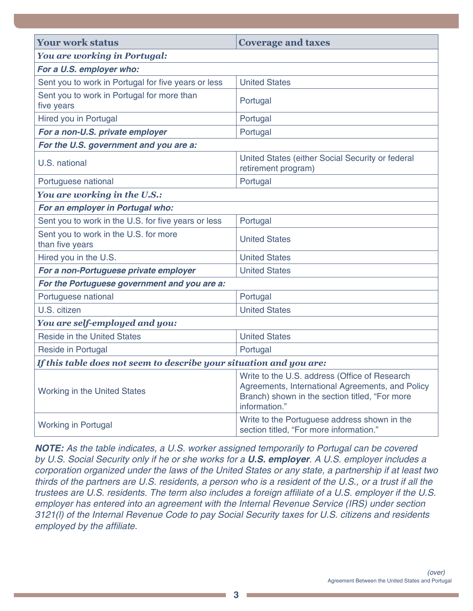<span id="page-2-0"></span>

| <b>Your work status</b>                                             | <b>Coverage and taxes</b>                                                                                                                                            |  |
|---------------------------------------------------------------------|----------------------------------------------------------------------------------------------------------------------------------------------------------------------|--|
| <b>You are working in Portugal:</b>                                 |                                                                                                                                                                      |  |
| For a U.S. employer who:                                            |                                                                                                                                                                      |  |
| Sent you to work in Portugal for five years or less                 | <b>United States</b>                                                                                                                                                 |  |
| Sent you to work in Portugal for more than<br>five years            | Portugal                                                                                                                                                             |  |
| Hired you in Portugal                                               | Portugal                                                                                                                                                             |  |
| For a non-U.S. private employer                                     | Portugal                                                                                                                                                             |  |
| For the U.S. government and you are a:                              |                                                                                                                                                                      |  |
| U.S. national                                                       | United States (either Social Security or federal<br>retirement program)                                                                                              |  |
| Portuguese national                                                 | Portugal                                                                                                                                                             |  |
| You are working in the U.S.:                                        |                                                                                                                                                                      |  |
| For an employer in Portugal who:                                    |                                                                                                                                                                      |  |
| Sent you to work in the U.S. for five years or less                 | Portugal                                                                                                                                                             |  |
| Sent you to work in the U.S. for more<br>than five years            | <b>United States</b>                                                                                                                                                 |  |
| Hired you in the U.S.                                               | <b>United States</b>                                                                                                                                                 |  |
| For a non-Portuguese private employer                               | <b>United States</b>                                                                                                                                                 |  |
| For the Portuguese government and you are a:                        |                                                                                                                                                                      |  |
| Portuguese national                                                 | Portugal                                                                                                                                                             |  |
| U.S. citizen                                                        | <b>United States</b>                                                                                                                                                 |  |
| You are self-employed and you:                                      |                                                                                                                                                                      |  |
| <b>Reside in the United States</b>                                  | <b>United States</b>                                                                                                                                                 |  |
| <b>Reside in Portugal</b>                                           | Portugal                                                                                                                                                             |  |
| If this table does not seem to describe your situation and you are: |                                                                                                                                                                      |  |
| Working in the United States                                        | Write to the U.S. address (Office of Research<br>Agreements, International Agreements, and Policy<br>Branch) shown in the section titled, "For more<br>information." |  |
| <b>Working in Portugal</b>                                          | Write to the Portuguese address shown in the<br>section titled, "For more information."                                                                              |  |

*NOTE:* As the table indicates, a U.S. worker assigned temporarily to Portugal can be covered by U.S. Social Security only if he or she works for a *U.S. employer*. A U.S. employer includes a corporation organized under the laws of the United States or any state, a partnership if at least two thirds of the partners are U.S. residents, a person who is a resident of the U.S., or a trust if all the trustees are U.S. residents. The term also includes a foreign affiliate of a U.S. employer if the U.S. employer has entered into an agreement with the Internal Revenue Service (IRS) under section 3121(l) of the Internal Revenue Code to pay Social Security taxes for U.S. citizens and residents employed by the affiliate.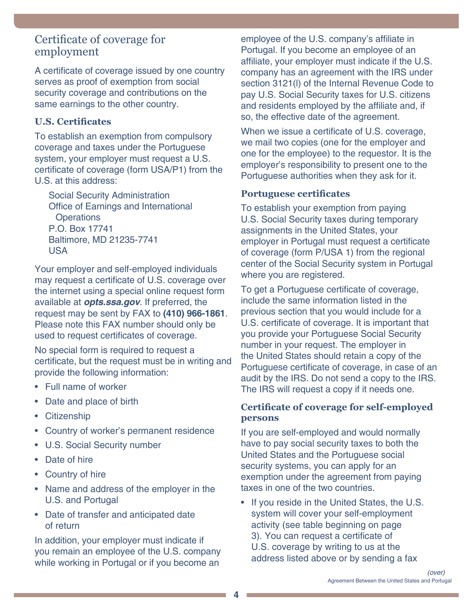## <span id="page-3-0"></span>Certificate of coverage for employment

A certificate of coverage issued by one country serves as proof of exemption from social security coverage and contributions on the same earnings to the other country.

### **U.S. Certificates**

To establish an exemption from compulsory coverage and taxes under the Portuguese system, your employer must request a U.S. certificate of coverage (form USA/P1) from the U.S. at this address:

Social Security Administration Office of Earnings and International **Operations** P.O. Box 17741 Baltimore, MD 21235-7741 USA

Your employer and self-employed individuals may request a certificate of U.S. coverage over the internet using a special online request form available at *[opts.ssa.gov](https://opts.ssa.gov)*. If preferred, the request may be sent by FAX to **(410) 966-1861**. Please note this FAX number should only be used to request certificates of coverage.

No special form is required to request a certificate, but the request must be in writing and provide the following information:

- Full name of worker
- Date and place of birth
- Citizenship
- Country of worker's permanent residence
- U.S. Social Security number
- Date of hire
- Country of hire
- Name and address of the employer in the U.S. and Portugal
- Date of transfer and anticipated date of return

In addition, your employer must indicate if you remain an employee of the U.S. company while working in Portugal or if you become an

employee of the U.S. company's affiliate in Portugal. If you become an employee of an affiliate, your employer must indicate if the U.S. company has an agreement with the IRS under section 3121(l) of the Internal Revenue Code to pay U.S. Social Security taxes for U.S. citizens and residents employed by the affiliate and, if so, the effective date of the agreement.

When we issue a certificate of U.S. coverage, we mail two copies (one for the employer and one for the employee) to the requestor. It is the employer's responsibility to present one to the Portuguese authorities when they ask for it.

#### **Portuguese certificates**

To establish your exemption from paying U.S. Social Security taxes during temporary assignments in the United States, your employer in Portugal must request a certificate of coverage (form P/USA 1) from the regional center of the Social Security system in Portugal where you are registered.

To get a Portuguese certificate of coverage, include the same information listed in the previous section that you would include for a U.S. certificate of coverage. It is important that you provide your Portuguese Social Security number in your request. The employer in the United States should retain a copy of the Portuguese certificate of coverage, in case of an audit by the IRS. Do not send a copy to the IRS. The IRS will request a copy if it needs one.

#### **Certificate of coverage for self-employed persons**

If you are self-employed and would normally have to pay social security taxes to both the United States and the Portuguese social security systems, you can apply for an exemption under the agreement from paying taxes in one of the two countries.

• If you reside in the United States, the U.S. system will cover your self-employment activity (see table beginning on page [3](#page-2-0)). You can request a certificate of U.S. coverage by writing to us at the address listed above or by sending a fax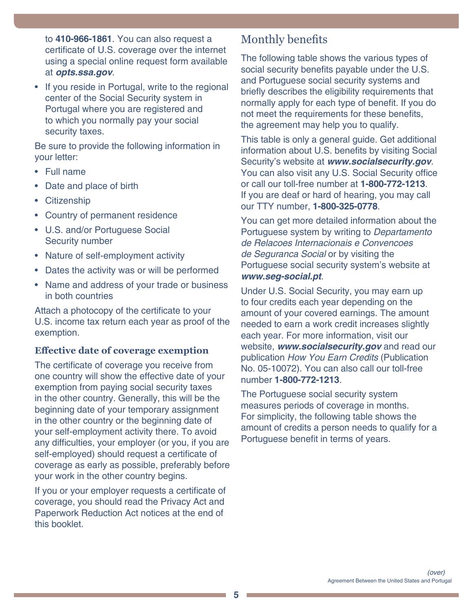<span id="page-4-0"></span>to **410-966-1861**. You can also request a certificate of U.S. coverage over the internet using a special online request form available at *[opts.ssa.gov](https://opts.ssa.gov)*.

• If you reside in Portugal, write to the regional center of the Social Security system in Portugal where you are registered and to which you normally pay your social security taxes.

Be sure to provide the following information in your letter:

- Full name
- Date and place of birth
- Citizenship
- Country of permanent residence
- U.S. and/or Portuguese Social Security number
- Nature of self-employment activity
- Dates the activity was or will be performed
- Name and address of your trade or business in both countries

Attach a photocopy of the certificate to your U.S. income tax return each year as proof of the exemption.

#### **Effective date of coverage exemption**

The certificate of coverage you receive from one country will show the effective date of your exemption from paying social security taxes in the other country. Generally, this will be the beginning date of your temporary assignment in the other country or the beginning date of your self-employment activity there. To avoid any difficulties, your employer (or you, if you are self-employed) should request a certificate of coverage as early as possible, preferably before your work in the other country begins.

If you or your employer requests a certificate of coverage, you should read the Privacy Act and Paperwork Reduction Act notices at the end of this booklet.

## <span id="page-4-1"></span>Monthly benefits

The following table shows the various types of social security benefits payable under the U.S. and Portuguese social security systems and briefly describes the eligibility requirements that normally apply for each type of benefit. If you do not meet the requirements for these benefits, the agreement may help you to qualify.

This table is only a general guide. Get additional information about U.S. benefits by visiting Social Security's website at *[www.socialsecurity.gov](https://www.socialsecurity.gov)*. You can also visit any U.S. Social Security office or call our toll-free number at **1-800-772-1213**. If you are deaf or hard of hearing, you may call our TTY number, **1-800-325-0778**.

You can get more detailed information about the Portuguese system by writing to Departamento de Relacoes Internacionais e Convencoes de Seguranca Social or by visiting the Portuguese social security system's website at *[www.seg-social.pt](https://www.seg-social.pt/)*.

Under U.S. Social Security, you may earn up to four credits each year depending on the amount of your covered earnings. The amount needed to earn a work credit increases slightly each year. For more information, visit our website, *[www.socialsecurity.gov](https://www.socialsecurity.gov)* and read our publication [How You Earn Credits](https://www.ssa.gov/pubs/EN-05-10072.pdf) (Publication [No. 05-10072\).](https://www.ssa.gov/pubs/EN-05-10072.pdf) You can also call our toll-free number **1-800-772-1213**.

The Portuguese social security system measures periods of coverage in months. For simplicity, the following table shows the amount of credits a person needs to qualify for a Portuguese benefit in terms of years.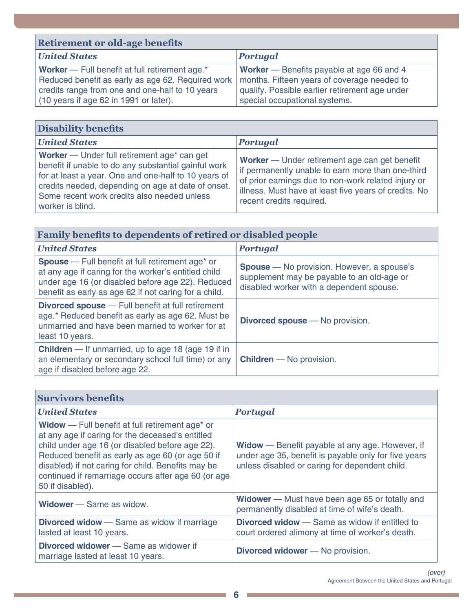| <b>Retirement or old-age benefits</b>                                                                                                                                                            |                                                                                                                                                                                    |  |
|--------------------------------------------------------------------------------------------------------------------------------------------------------------------------------------------------|------------------------------------------------------------------------------------------------------------------------------------------------------------------------------------|--|
| <b>United States</b>                                                                                                                                                                             | <b>Portugal</b>                                                                                                                                                                    |  |
| Worker - Full benefit at full retirement age.*<br>Reduced benefit as early as age 62. Required work<br>credits range from one and one-half to 10 years<br>(10 years if age 62 in 1991 or later). | <b>Worker</b> — Benefits payable at age 66 and 4<br>months. Fifteen years of coverage needed to<br>qualify. Possible earlier retirement age under<br>special occupational systems. |  |

| <b>Disability benefits</b>                                                                                                                                                                                                                                                           |                                                                                                                                                                                                                                                |  |
|--------------------------------------------------------------------------------------------------------------------------------------------------------------------------------------------------------------------------------------------------------------------------------------|------------------------------------------------------------------------------------------------------------------------------------------------------------------------------------------------------------------------------------------------|--|
| <b>United States</b>                                                                                                                                                                                                                                                                 | <b>Portugal</b>                                                                                                                                                                                                                                |  |
| Worker — Under full retirement age* can get<br>benefit if unable to do any substantial gainful work<br>for at least a year. One and one-half to 10 years of<br>credits needed, depending on age at date of onset.<br>Some recent work credits also needed unless<br>worker is blind. | Worker — Under retirement age can get benefit<br>if permanently unable to earn more than one-third<br>of prior earnings due to non-work related injury or<br>illness. Must have at least five years of credits. No<br>recent credits required. |  |

| <b>Family benefits to dependents of retired or disabled people</b>                                                                                                                                                                        |                                                                                                                                             |
|-------------------------------------------------------------------------------------------------------------------------------------------------------------------------------------------------------------------------------------------|---------------------------------------------------------------------------------------------------------------------------------------------|
| <b>United States</b>                                                                                                                                                                                                                      | <b>Portugal</b>                                                                                                                             |
| <b>Spouse</b> – Full benefit at full retirement age <sup>*</sup> or<br>at any age if caring for the worker's entitled child<br>under age 16 (or disabled before age 22). Reduced<br>benefit as early as age 62 if not caring for a child. | <b>Spouse</b> – No provision. However, a spouse's<br>supplement may be payable to an old-age or<br>disabled worker with a dependent spouse. |
| <b>Divorced spouse</b> – Full benefit at full retirement<br>age.* Reduced benefit as early as age 62. Must be<br>unmarried and have been married to worker for at<br>least 10 years.                                                      | <b>Divorced spouse</b> — No provision.                                                                                                      |
| <b>Children</b> — If unmarried, up to age 18 (age 19 if in<br>an elementary or secondary school full time) or any<br>age if disabled before age 22.                                                                                       | <b>Children</b> - No provision.                                                                                                             |

| <b>Survivors benefits</b>                                                                                                                                                                                                                                                                                                                               |                                                                                                                                                                  |
|---------------------------------------------------------------------------------------------------------------------------------------------------------------------------------------------------------------------------------------------------------------------------------------------------------------------------------------------------------|------------------------------------------------------------------------------------------------------------------------------------------------------------------|
| <b>United States</b>                                                                                                                                                                                                                                                                                                                                    | <b>Portugal</b>                                                                                                                                                  |
| Widow - Full benefit at full retirement age <sup>*</sup> or<br>at any age if caring for the deceased's entitled<br>child under age 16 (or disabled before age 22).<br>Reduced benefit as early as age 60 (or age 50 if<br>disabled) if not caring for child. Benefits may be<br>continued if remarriage occurs after age 60 (or age<br>50 if disabled). | <b>Widow</b> — Benefit payable at any age. However, if<br>under age 35, benefit is payable only for five years<br>unless disabled or caring for dependent child. |
| <b>Widower</b> — Same as widow.                                                                                                                                                                                                                                                                                                                         | <b>Widower</b> – Must have been age 65 or totally and<br>permanently disabled at time of wife's death.                                                           |
| <b>Divorced widow</b> — Same as widow if marriage<br>lasted at least 10 years.                                                                                                                                                                                                                                                                          | <b>Divorced widow</b> — Same as widow if entitled to<br>court ordered alimony at time of worker's death.                                                         |
| <b>Divorced widower</b> – Same as widower if<br>marriage lasted at least 10 years.                                                                                                                                                                                                                                                                      | <b>Divorced widower</b> - No provision.                                                                                                                          |

a sa kacamatan ing Kabupatèn Kabupatèn Kabupatèn Kabupatèn Kabupatèn Kabupatèn Kabupatèn Kabupatèn Kabupatèn K

the control of the control of the control of the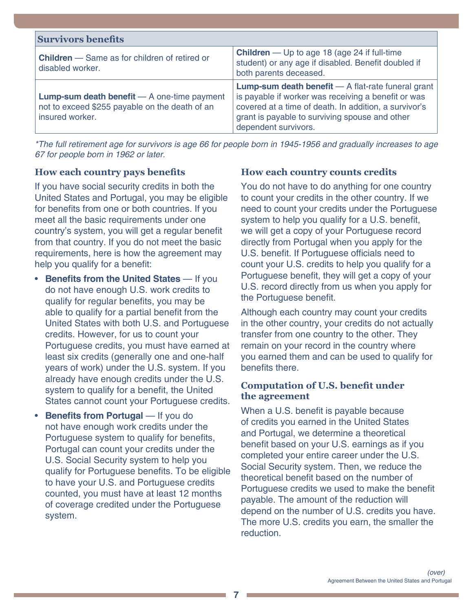| <b>Survivors benefits</b>                                                                                                 |                                                                                                                                                                                                                                                       |
|---------------------------------------------------------------------------------------------------------------------------|-------------------------------------------------------------------------------------------------------------------------------------------------------------------------------------------------------------------------------------------------------|
| <b>Children</b> – Same as for children of retired or<br>disabled worker.                                                  | <b>Children</b> — Up to age 18 (age 24 if full-time<br>student) or any age if disabled. Benefit doubled if<br>both parents deceased.                                                                                                                  |
| <b>Lump-sum death benefit</b> $- A$ one-time payment<br>not to exceed \$255 payable on the death of an<br>insured worker. | <b>Lump-sum death benefit</b> $-$ A flat-rate funeral grant<br>is payable if worker was receiving a benefit or was<br>covered at a time of death. In addition, a survivor's<br>grant is payable to surviving spouse and other<br>dependent survivors. |

<span id="page-6-0"></span>\*The full retirement age for survivors is age 66 for people born in 1945-1956 and gradually increases to age 67 for people born in 1962 or later.

#### **How each country pays benefits**

If you have social security credits in both the United States and Portugal, you may be eligible for benefits from one or both countries. If you meet all the basic requirements under one country's system, you will get a regular benefit from that country. If you do not meet the basic requirements, here is how the agreement may help you qualify for a benefit:

- **Benefits from the United States** If you do not have enough U.S. work credits to qualify for regular benefits, you may be able to qualify for a partial benefit from the United States with both U.S. and Portuguese credits. However, for us to count your Portuguese credits, you must have earned at least six credits (generally one and one-half years of work) under the U.S. system. If you already have enough credits under the U.S. system to qualify for a benefit, the United States cannot count your Portuguese credits.
- **Benefits from Portugal** If you do not have enough work credits under the Portuguese system to qualify for benefits, Portugal can count your credits under the U.S. Social Security system to help you qualify for Portuguese benefits. To be eligible to have your U.S. and Portuguese credits counted, you must have at least 12 months of coverage credited under the Portuguese system.

#### **How each country counts credits**

You do not have to do anything for one country to count your credits in the other country. If we need to count your credits under the Portuguese system to help you qualify for a U.S. benefit, we will get a copy of your Portuguese record directly from Portugal when you apply for the U.S. benefit. If Portuguese officials need to count your U.S. credits to help you qualify for a Portuguese benefit, they will get a copy of your U.S. record directly from us when you apply for the Portuguese benefit.

Although each country may count your credits in the other country, your credits do not actually transfer from one country to the other. They remain on your record in the country where you earned them and can be used to qualify for benefits there.

#### **Computation of U.S. benefit under the agreement**

When a U.S. benefit is payable because of credits you earned in the United States and Portugal, we determine a theoretical benefit based on your U.S. earnings as if you completed your entire career under the U.S. Social Security system. Then, we reduce the theoretical benefit based on the number of Portuguese credits we used to make the benefit payable. The amount of the reduction will depend on the number of U.S. credits you have. The more U.S. credits you earn, the smaller the reduction.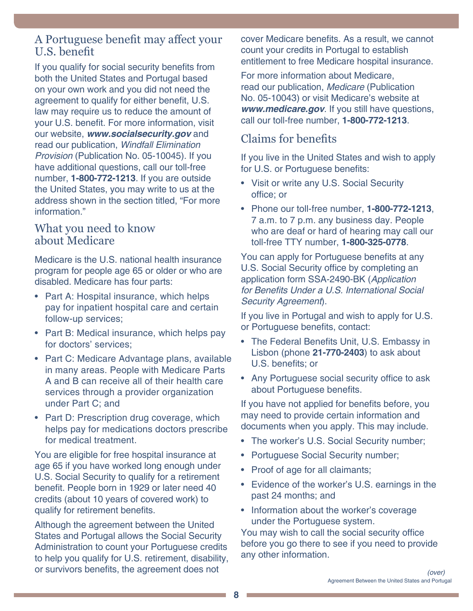## <span id="page-7-0"></span>A Portuguese benefit may affect your U.S. benefit

If you qualify for social security benefits from both the United States and Portugal based on your own work and you did not need the agreement to qualify for either benefit, U.S. law may require us to reduce the amount of your U.S. benefit. For more information, visit our website, *[www.socialsecurity.gov](https://www.socialsecurity.gov)* and read our publication, [Windfall Elimination](https://ssa.gov/pubs/EN-05-10045.pdf)  Provision [\(Publication No. 05-10045\)](https://ssa.gov/pubs/EN-05-10045.pdf). If you have additional questions, call our toll-free number, **1-800-772-1213**. If you are outside the United States, you may write to us at the address shown in the section titled, "[For more](#page-9-1)  [information.](#page-9-1)"

## What you need to know about Medicare

Medicare is the U.S. national health insurance program for people age 65 or older or who are disabled. Medicare has four parts:

- Part A: Hospital insurance, which helps pay for inpatient hospital care and certain follow-up services;
- Part B: Medical insurance, which helps pay for doctors' services;
- Part C: Medicare Advantage plans, available in many areas. People with Medicare Parts A and B can receive all of their health care services through a provider organization under Part C; and
- Part D: Prescription drug coverage, which helps pay for medications doctors prescribe for medical treatment.

You are eligible for free hospital insurance at age 65 if you have worked long enough under U.S. Social Security to qualify for a retirement benefit. People born in 1929 or later need 40 credits (about 10 years of covered work) to qualify for retirement benefits.

Although the agreement between the United States and Portugal allows the Social Security Administration to count your Portuguese credits to help you qualify for U.S. retirement, disability, or survivors benefits, the agreement does not

cover Medicare benefits. As a result, we cannot count your credits in Portugal to establish entitlement to free Medicare hospital insurance.

For more information about Medicare, read our publication, Medicare [\(Publication](https://www.ssa.gov/pubs/EN-05-10043.pdf)  [No. 05-10043\)](https://www.ssa.gov/pubs/EN-05-10043.pdf) or visit Medicare's website at *[www.medicare.gov](https://www.medicare.gov/)*. If you still have questions, call our toll-free number, **1-800-772-1213**.

# <span id="page-7-1"></span>Claims for benefits

If you live in the United States and wish to apply for U.S. or Portuguese benefits:

- Visit or write any U.S. Social Security office; or
- Phone our toll-free number, **1-800-772-1213**, 7 a.m. to 7 p.m. any business day. People who are deaf or hard of hearing may call our toll-free TTY number, **1-800-325-0778**.

You can apply for Portuguese benefits at any U.S. Social Security office by completing an application form SSA-2490-BK (Application for Benefits Under a U.S. International Social Security Agreement).

If you live in Portugal and wish to apply for U.S. or Portuguese benefits, contact:

- The Federal Benefits Unit, U.S. Embassy in Lisbon (phone **21-770-2403**) to ask about U.S. benefits; or
- Any Portuguese social security office to ask about Portuguese benefits.

If you have not applied for benefits before, you may need to provide certain information and documents when you apply. This may include.

- The worker's U.S. Social Security number;
- Portuguese Social Security number;
- Proof of age for all claimants;
- Evidence of the worker's U.S. earnings in the past 24 months; and
- Information about the worker's coverage under the Portuguese system.

You may wish to call the social security office before you go there to see if you need to provide any other information.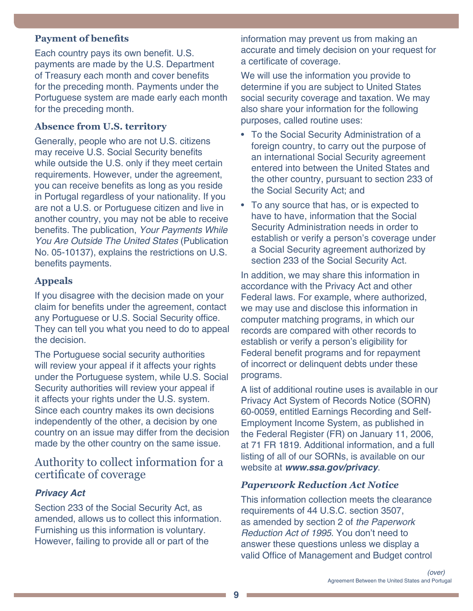#### <span id="page-8-0"></span>**Payment of benefits**

Each country pays its own benefit. U.S. payments are made by the U.S. Department of Treasury each month and cover benefits for the preceding month. Payments under the Portuguese system are made early each month for the preceding month.

#### **Absence from U.S. territory**

Generally, people who are not U.S. citizens may receive U.S. Social Security benefits while outside the U.S. only if they meet certain requirements. However, under the agreement, you can receive benefits as long as you reside in Portugal regardless of your nationality. If you are not a U.S. or Portuguese citizen and live in another country, you may not be able to receive benefits. The publication, [Your Payments While](https://www.ssa.gov/pubs/EN-05-10137.pdf)  [You Are Outside The United States](https://www.ssa.gov/pubs/EN-05-10137.pdf) (Publication [No. 05-10137\)](https://www.ssa.gov/pubs/EN-05-10137.pdf), explains the restrictions on U.S. benefits payments.

#### **Appeals**

If you disagree with the decision made on your claim for benefits under the agreement, contact any Portuguese or U.S. Social Security office. They can tell you what you need to do to appeal the decision.

The Portuguese social security authorities will review your appeal if it affects your rights under the Portuguese system, while U.S. Social Security authorities will review your appeal if it affects your rights under the U.S. system. Since each country makes its own decisions independently of the other, a decision by one country on an issue may differ from the decision made by the other country on the same issue.

## Authority to collect information for a certificate of coverage

#### *Privacy Act*

Section 233 of the Social Security Act, as amended, allows us to collect this information. Furnishing us this information is voluntary. However, failing to provide all or part of the

information may prevent us from making an accurate and timely decision on your request for a certificate of coverage.

We will use the information you provide to determine if you are subject to United States social security coverage and taxation. We may also share your information for the following purposes, called routine uses:

- To the Social Security Administration of a foreign country, to carry out the purpose of an international Social Security agreement entered into between the United States and the other country, pursuant to section 233 of the Social Security Act; and
- To any source that has, or is expected to have to have, information that the Social Security Administration needs in order to establish or verify a person's coverage under a Social Security agreement authorized by section 233 of the Social Security Act.

In addition, we may share this information in accordance with the Privacy Act and other Federal laws. For example, where authorized, we may use and disclose this information in computer matching programs, in which our records are compared with other records to establish or verify a person's eligibility for Federal benefit programs and for repayment of incorrect or delinquent debts under these programs.

A list of additional routine uses is available in our Privacy Act System of Records Notice (SORN) 60-0059, entitled Earnings Recording and Self-Employment Income System, as published in the Federal Register (FR) on January 11, 2006, at 71 FR 1819. Additional information, and a full listing of all of our SORNs, is available on our website at *[www.ssa.gov/privacy](https://www.ssa.gov/privacy)*.

#### *Paperwork Reduction Act Notice*

This information collection meets the clearance requirements of 44 U.S.C. section 3507, as amended by section 2 of the Paperwork Reduction Act of 1995. You don't need to answer these questions unless we display a valid Office of Management and Budget control